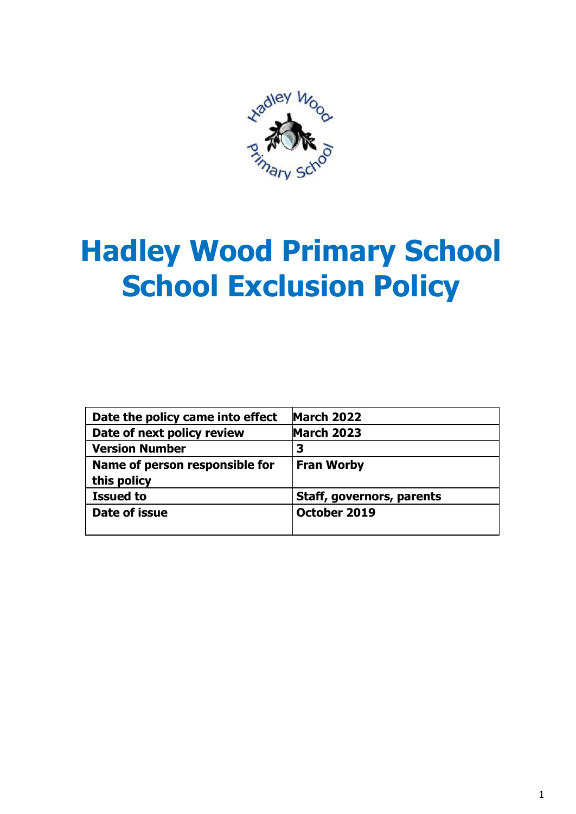

# **Hadley Wood Primary School School Exclusion Policy**

| Date the policy came into effect | <b>March 2022</b>         |
|----------------------------------|---------------------------|
| Date of next policy review       | <b>March 2023</b>         |
| <b>Version Number</b>            | 3                         |
| Name of person responsible for   | <b>Fran Worby</b>         |
| this policy                      |                           |
| <b>Issued to</b>                 | Staff, governors, parents |
| Date of issue                    | October 2019              |
|                                  |                           |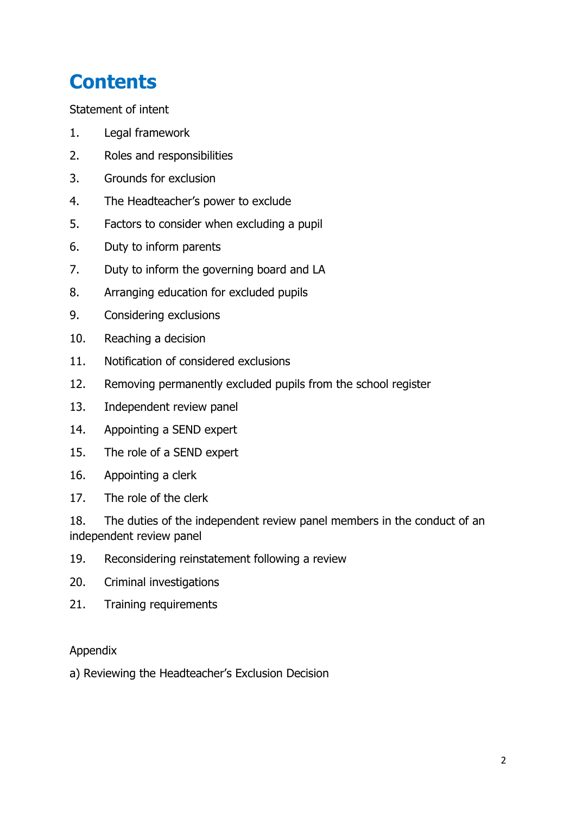# **Contents**

Statement of intent

- 1. Legal framework
- 2. Roles and responsibilities
- 3. Grounds for exclusion
- 4. The Headteacher's power to exclude
- 5. Factors to consider when excluding a pupil
- 6. Duty to inform parents
- 7. Duty to inform the governing board and LA
- 8. Arranging education for excluded pupils
- 9. Considering exclusions
- 10. Reaching a decision
- 11. Notification of considered exclusions
- 12. Removing permanently excluded pupils from the school register
- 13. Independent review panel
- 14. Appointing a SEND expert
- 15. The role of a SEND expert
- 16. Appointing a clerk
- 17. The role of the clerk

18. The duties of the independent review panel members in the conduct of an independent review panel

- 19. Reconsidering reinstatement following a review
- 20. Criminal investigations
- 21. Training requirements

#### Appendix

a) Reviewing the Headteacher's Exclusion Decision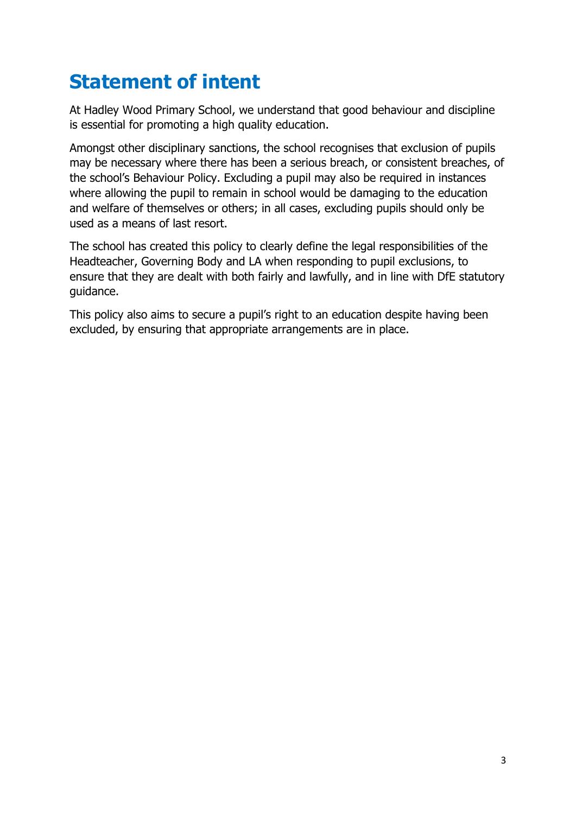## **Statement of intent**

At Hadley Wood Primary School, we understand that good behaviour and discipline is essential for promoting a high quality education.

Amongst other disciplinary sanctions, the school recognises that exclusion of pupils may be necessary where there has been a serious breach, or consistent breaches, of the school's Behaviour Policy. Excluding a pupil may also be required in instances where allowing the pupil to remain in school would be damaging to the education and welfare of themselves or others; in all cases, excluding pupils should only be used as a means of last resort.

The school has created this policy to clearly define the legal responsibilities of the Headteacher, Governing Body and LA when responding to pupil exclusions, to ensure that they are dealt with both fairly and lawfully, and in line with DfE statutory guidance.

This policy also aims to secure a pupil's right to an education despite having been excluded, by ensuring that appropriate arrangements are in place.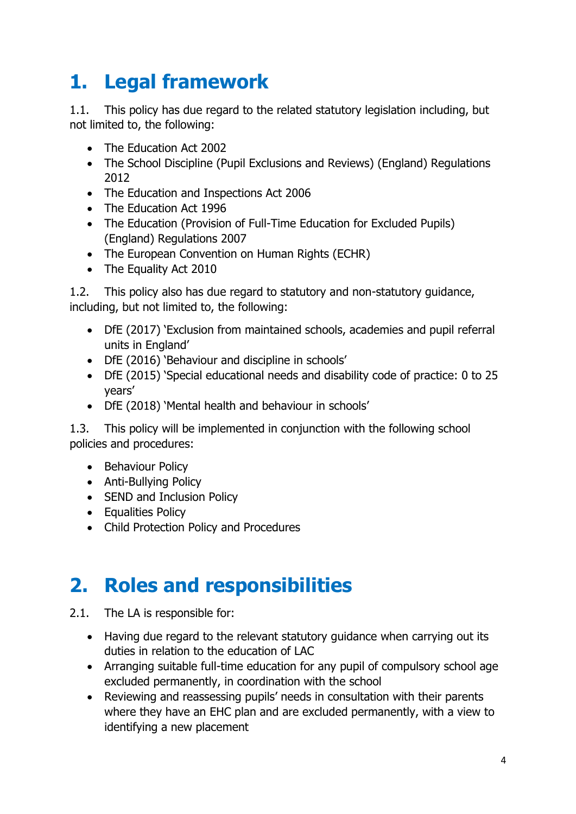# **1. Legal framework**

1.1. This policy has due regard to the related statutory legislation including, but not limited to, the following:

- The Education Act 2002
- The School Discipline (Pupil Exclusions and Reviews) (England) Regulations 2012
- The Education and Inspections Act 2006
- The Education Act 1996
- The Education (Provision of Full-Time Education for Excluded Pupils) (England) Regulations 2007
- The European Convention on Human Rights (ECHR)
- The Equality Act 2010

1.2. This policy also has due regard to statutory and non-statutory guidance, including, but not limited to, the following:

- DfE (2017) 'Exclusion from maintained schools, academies and pupil referral units in England'
- DfE (2016) 'Behaviour and discipline in schools'
- DfE (2015) 'Special educational needs and disability code of practice: 0 to 25 years'
- DfE (2018) 'Mental health and behaviour in schools'

1.3. This policy will be implemented in conjunction with the following school policies and procedures:

- Behaviour Policy
- Anti-Bullying Policy
- SEND and Inclusion Policy
- Equalities Policy
- Child Protection Policy and Procedures

#### **2. Roles and responsibilities**

- 2.1. The LA is responsible for:
	- Having due regard to the relevant statutory guidance when carrying out its duties in relation to the education of LAC
	- Arranging suitable full-time education for any pupil of compulsory school age excluded permanently, in coordination with the school
	- Reviewing and reassessing pupils' needs in consultation with their parents where they have an EHC plan and are excluded permanently, with a view to identifying a new placement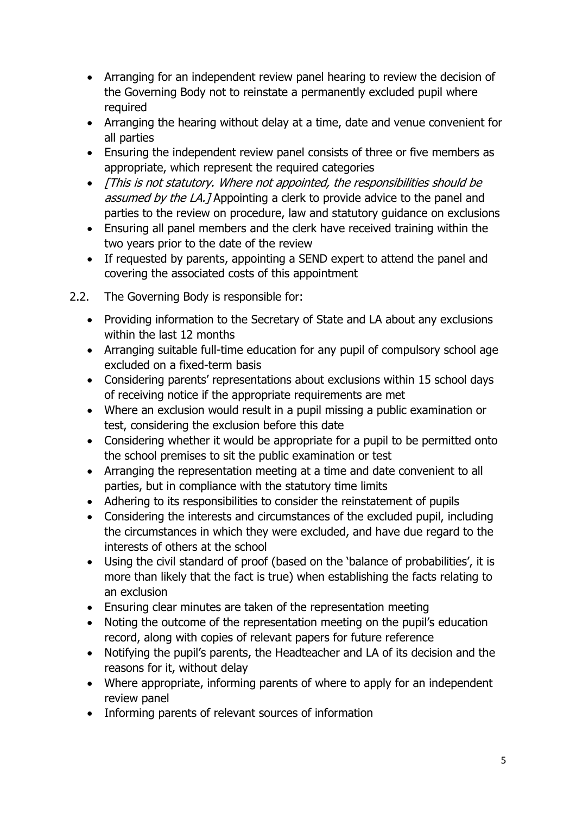- Arranging for an independent review panel hearing to review the decision of the Governing Body not to reinstate a permanently excluded pupil where required
- Arranging the hearing without delay at a time, date and venue convenient for all parties
- Ensuring the independent review panel consists of three or five members as appropriate, which represent the required categories
- [This is not statutory. Where not appointed, the responsibilities should be assumed by the LA.] Appointing a clerk to provide advice to the panel and parties to the review on procedure, law and statutory guidance on exclusions
- Ensuring all panel members and the clerk have received training within the two years prior to the date of the review
- If requested by parents, appointing a SEND expert to attend the panel and covering the associated costs of this appointment
- 2.2. The Governing Body is responsible for:
	- Providing information to the Secretary of State and LA about any exclusions within the last 12 months
	- Arranging suitable full-time education for any pupil of compulsory school age excluded on a fixed-term basis
	- Considering parents' representations about exclusions within 15 school days of receiving notice if the appropriate requirements are met
	- Where an exclusion would result in a pupil missing a public examination or test, considering the exclusion before this date
	- Considering whether it would be appropriate for a pupil to be permitted onto the school premises to sit the public examination or test
	- Arranging the representation meeting at a time and date convenient to all parties, but in compliance with the statutory time limits
	- Adhering to its responsibilities to consider the reinstatement of pupils
	- Considering the interests and circumstances of the excluded pupil, including the circumstances in which they were excluded, and have due regard to the interests of others at the school
	- Using the civil standard of proof (based on the 'balance of probabilities', it is more than likely that the fact is true) when establishing the facts relating to an exclusion
	- Ensuring clear minutes are taken of the representation meeting
	- Noting the outcome of the representation meeting on the pupil's education record, along with copies of relevant papers for future reference
	- Notifying the pupil's parents, the Headteacher and LA of its decision and the reasons for it, without delay
	- Where appropriate, informing parents of where to apply for an independent review panel
	- Informing parents of relevant sources of information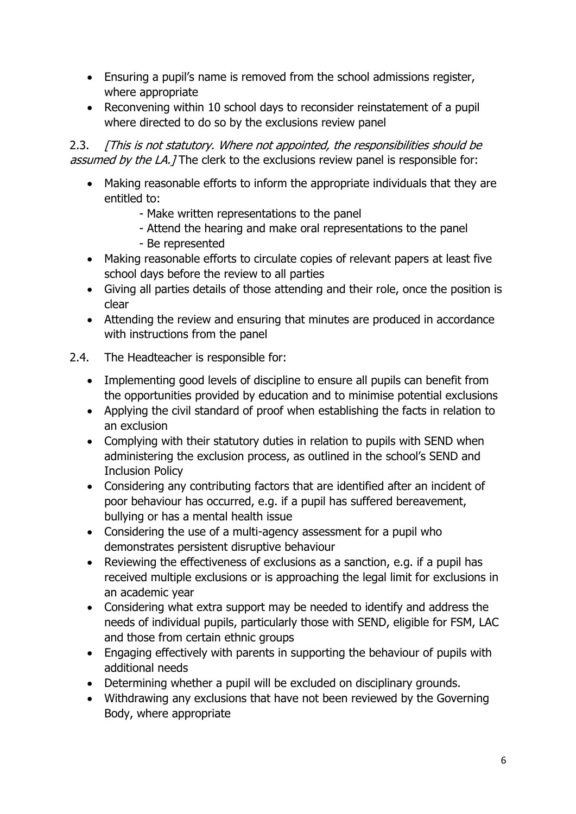- Ensuring a pupil's name is removed from the school admissions register, where appropriate
- Reconvening within 10 school days to reconsider reinstatement of a pupil where directed to do so by the exclusions review panel

2.3. [This is not statutory. Where not appointed, the responsibilities should be assumed by the LA.] The clerk to the exclusions review panel is responsible for:

- Making reasonable efforts to inform the appropriate individuals that they are entitled to:
	- Make written representations to the panel
	- Attend the hearing and make oral representations to the panel
	- Be represented
- Making reasonable efforts to circulate copies of relevant papers at least five school days before the review to all parties
- Giving all parties details of those attending and their role, once the position is clear
- Attending the review and ensuring that minutes are produced in accordance with instructions from the panel
- 2.4. The Headteacher is responsible for:
	- Implementing good levels of discipline to ensure all pupils can benefit from the opportunities provided by education and to minimise potential exclusions
	- Applying the civil standard of proof when establishing the facts in relation to an exclusion
	- Complying with their statutory duties in relation to pupils with SEND when administering the exclusion process, as outlined in the school's SEND and Inclusion Policy
	- Considering any contributing factors that are identified after an incident of poor behaviour has occurred, e.g. if a pupil has suffered bereavement, bullying or has a mental health issue
	- Considering the use of a multi-agency assessment for a pupil who demonstrates persistent disruptive behaviour
	- Reviewing the effectiveness of exclusions as a sanction, e.g. if a pupil has received multiple exclusions or is approaching the legal limit for exclusions in an academic year
	- Considering what extra support may be needed to identify and address the needs of individual pupils, particularly those with SEND, eligible for FSM, LAC and those from certain ethnic groups
	- Engaging effectively with parents in supporting the behaviour of pupils with additional needs
	- Determining whether a pupil will be excluded on disciplinary grounds.
	- Withdrawing any exclusions that have not been reviewed by the Governing Body, where appropriate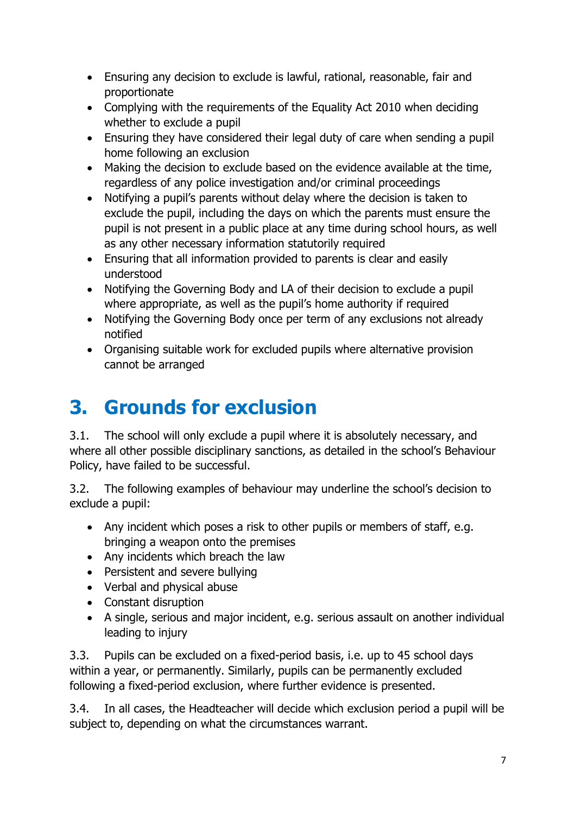- Ensuring any decision to exclude is lawful, rational, reasonable, fair and proportionate
- Complying with the requirements of the Equality Act 2010 when deciding whether to exclude a pupil
- Ensuring they have considered their legal duty of care when sending a pupil home following an exclusion
- Making the decision to exclude based on the evidence available at the time, regardless of any police investigation and/or criminal proceedings
- Notifying a pupil's parents without delay where the decision is taken to exclude the pupil, including the days on which the parents must ensure the pupil is not present in a public place at any time during school hours, as well as any other necessary information statutorily required
- Ensuring that all information provided to parents is clear and easily understood
- Notifying the Governing Body and LA of their decision to exclude a pupil where appropriate, as well as the pupil's home authority if required
- Notifying the Governing Body once per term of any exclusions not already notified
- Organising suitable work for excluded pupils where alternative provision cannot be arranged

# **3. Grounds for exclusion**

3.1. The school will only exclude a pupil where it is absolutely necessary, and where all other possible disciplinary sanctions, as detailed in the school's Behaviour Policy, have failed to be successful.

3.2. The following examples of behaviour may underline the school's decision to exclude a pupil:

- Any incident which poses a risk to other pupils or members of staff, e.g. bringing a weapon onto the premises
- Any incidents which breach the law
- Persistent and severe bullying
- Verbal and physical abuse
- Constant disruption
- A single, serious and major incident, e.g. serious assault on another individual leading to injury

3.3. Pupils can be excluded on a fixed-period basis, i.e. up to 45 school days within a year, or permanently. Similarly, pupils can be permanently excluded following a fixed-period exclusion, where further evidence is presented.

3.4. In all cases, the Headteacher will decide which exclusion period a pupil will be subject to, depending on what the circumstances warrant.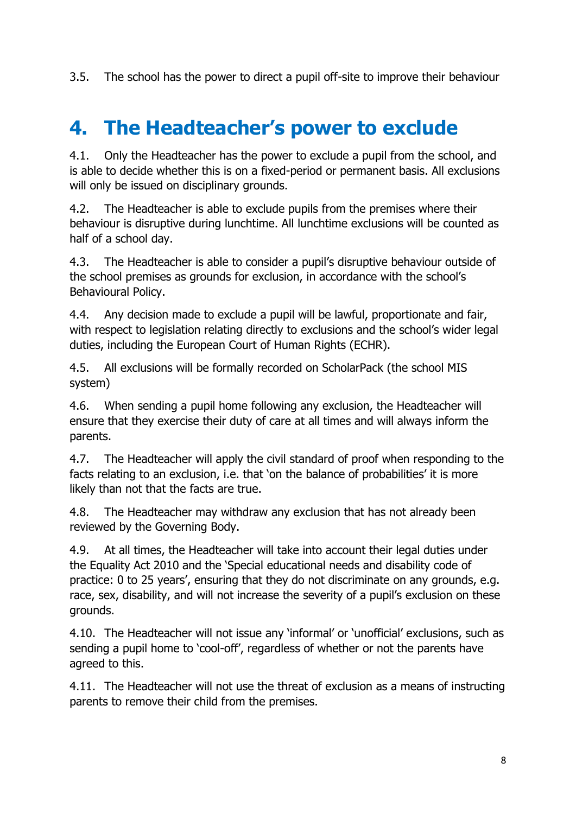3.5. The school has the power to direct a pupil off-site to improve their behaviour

# **4. The Headteacher's power to exclude**

4.1. Only the Headteacher has the power to exclude a pupil from the school, and is able to decide whether this is on a fixed-period or permanent basis. All exclusions will only be issued on disciplinary grounds.

4.2. The Headteacher is able to exclude pupils from the premises where their behaviour is disruptive during lunchtime. All lunchtime exclusions will be counted as half of a school day.

4.3. The Headteacher is able to consider a pupil's disruptive behaviour outside of the school premises as grounds for exclusion, in accordance with the school's Behavioural Policy.

4.4. Any decision made to exclude a pupil will be lawful, proportionate and fair, with respect to legislation relating directly to exclusions and the school's wider legal duties, including the European Court of Human Rights (ECHR).

4.5. All exclusions will be formally recorded on ScholarPack (the school MIS system)

4.6. When sending a pupil home following any exclusion, the Headteacher will ensure that they exercise their duty of care at all times and will always inform the parents.

4.7. The Headteacher will apply the civil standard of proof when responding to the facts relating to an exclusion, i.e. that 'on the balance of probabilities' it is more likely than not that the facts are true.

4.8. The Headteacher may withdraw any exclusion that has not already been reviewed by the Governing Body.

4.9. At all times, the Headteacher will take into account their legal duties under the Equality Act 2010 and the 'Special educational needs and disability code of practice: 0 to 25 years', ensuring that they do not discriminate on any grounds, e.g. race, sex, disability, and will not increase the severity of a pupil's exclusion on these grounds.

4.10. The Headteacher will not issue any 'informal' or 'unofficial' exclusions, such as sending a pupil home to 'cool-off', regardless of whether or not the parents have agreed to this.

4.11. The Headteacher will not use the threat of exclusion as a means of instructing parents to remove their child from the premises.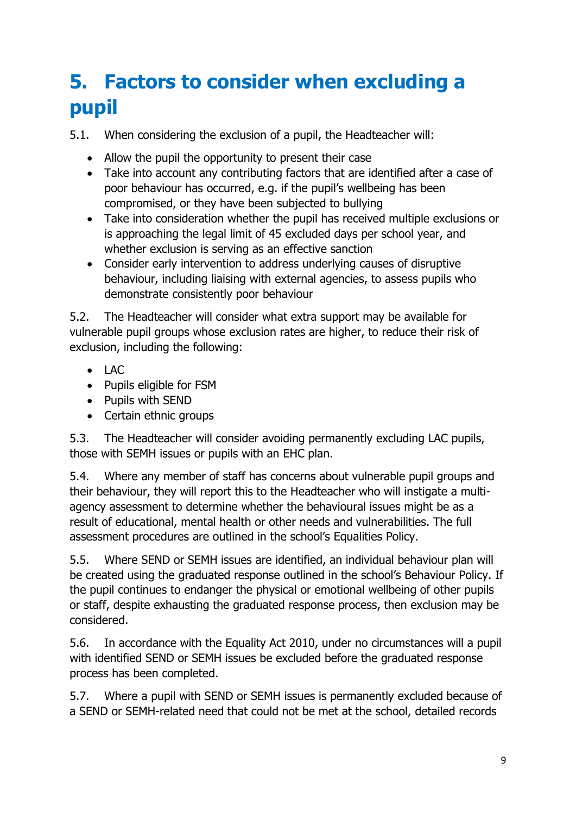# **5. Factors to consider when excluding a pupil**

5.1. When considering the exclusion of a pupil, the Headteacher will:

- Allow the pupil the opportunity to present their case
- Take into account any contributing factors that are identified after a case of poor behaviour has occurred, e.g. if the pupil's wellbeing has been compromised, or they have been subjected to bullying
- Take into consideration whether the pupil has received multiple exclusions or is approaching the legal limit of 45 excluded days per school year, and whether exclusion is serving as an effective sanction
- Consider early intervention to address underlying causes of disruptive behaviour, including liaising with external agencies, to assess pupils who demonstrate consistently poor behaviour

5.2. The Headteacher will consider what extra support may be available for vulnerable pupil groups whose exclusion rates are higher, to reduce their risk of exclusion, including the following:

- LAC
- Pupils eligible for FSM
- Pupils with SEND
- Certain ethnic groups

5.3. The Headteacher will consider avoiding permanently excluding LAC pupils, those with SEMH issues or pupils with an EHC plan.

5.4. Where any member of staff has concerns about vulnerable pupil groups and their behaviour, they will report this to the Headteacher who will instigate a multiagency assessment to determine whether the behavioural issues might be as a result of educational, mental health or other needs and vulnerabilities. The full assessment procedures are outlined in the school's Equalities Policy.

5.5. Where SEND or SEMH issues are identified, an individual behaviour plan will be created using the graduated response outlined in the school's Behaviour Policy. If the pupil continues to endanger the physical or emotional wellbeing of other pupils or staff, despite exhausting the graduated response process, then exclusion may be considered.

5.6. In accordance with the Equality Act 2010, under no circumstances will a pupil with identified SEND or SEMH issues be excluded before the graduated response process has been completed.

5.7. Where a pupil with SEND or SEMH issues is permanently excluded because of a SEND or SEMH-related need that could not be met at the school, detailed records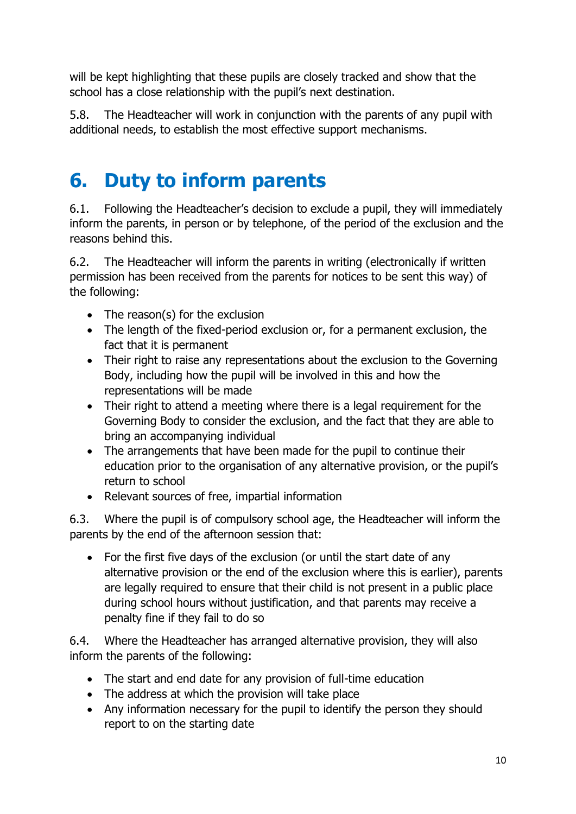will be kept highlighting that these pupils are closely tracked and show that the school has a close relationship with the pupil's next destination.

5.8. The Headteacher will work in conjunction with the parents of any pupil with additional needs, to establish the most effective support mechanisms.

#### **6. Duty to inform parents**

6.1. Following the Headteacher's decision to exclude a pupil, they will immediately inform the parents, in person or by telephone, of the period of the exclusion and the reasons behind this.

6.2. The Headteacher will inform the parents in writing (electronically if written permission has been received from the parents for notices to be sent this way) of the following:

- The reason(s) for the exclusion
- The length of the fixed-period exclusion or, for a permanent exclusion, the fact that it is permanent
- Their right to raise any representations about the exclusion to the Governing Body, including how the pupil will be involved in this and how the representations will be made
- Their right to attend a meeting where there is a legal requirement for the Governing Body to consider the exclusion, and the fact that they are able to bring an accompanying individual
- The arrangements that have been made for the pupil to continue their education prior to the organisation of any alternative provision, or the pupil's return to school
- Relevant sources of free, impartial information

6.3. Where the pupil is of compulsory school age, the Headteacher will inform the parents by the end of the afternoon session that:

• For the first five days of the exclusion (or until the start date of any alternative provision or the end of the exclusion where this is earlier), parents are legally required to ensure that their child is not present in a public place during school hours without justification, and that parents may receive a penalty fine if they fail to do so

6.4. Where the Headteacher has arranged alternative provision, they will also inform the parents of the following:

- The start and end date for any provision of full-time education
- The address at which the provision will take place
- Any information necessary for the pupil to identify the person they should report to on the starting date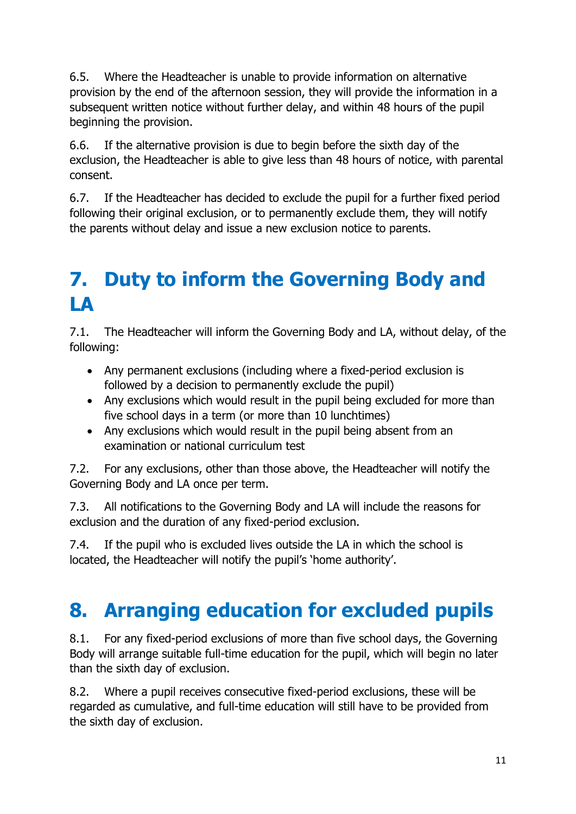6.5. Where the Headteacher is unable to provide information on alternative provision by the end of the afternoon session, they will provide the information in a subsequent written notice without further delay, and within 48 hours of the pupil beginning the provision.

6.6. If the alternative provision is due to begin before the sixth day of the exclusion, the Headteacher is able to give less than 48 hours of notice, with parental consent.

6.7. If the Headteacher has decided to exclude the pupil for a further fixed period following their original exclusion, or to permanently exclude them, they will notify the parents without delay and issue a new exclusion notice to parents.

# **7. Duty to inform the Governing Body and LA**

7.1. The Headteacher will inform the Governing Body and LA, without delay, of the following:

- Any permanent exclusions (including where a fixed-period exclusion is followed by a decision to permanently exclude the pupil)
- Any exclusions which would result in the pupil being excluded for more than five school days in a term (or more than 10 lunchtimes)
- Any exclusions which would result in the pupil being absent from an examination or national curriculum test

7.2. For any exclusions, other than those above, the Headteacher will notify the Governing Body and LA once per term.

7.3. All notifications to the Governing Body and LA will include the reasons for exclusion and the duration of any fixed-period exclusion.

7.4. If the pupil who is excluded lives outside the LA in which the school is located, the Headteacher will notify the pupil's 'home authority'.

# **8. Arranging education for excluded pupils**

8.1. For any fixed-period exclusions of more than five school days, the Governing Body will arrange suitable full-time education for the pupil, which will begin no later than the sixth day of exclusion.

8.2. Where a pupil receives consecutive fixed-period exclusions, these will be regarded as cumulative, and full-time education will still have to be provided from the sixth day of exclusion.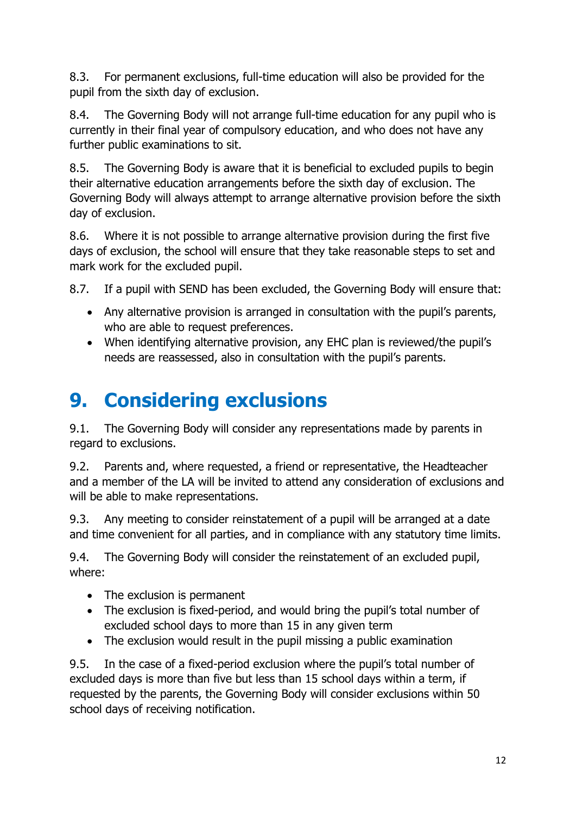8.3. For permanent exclusions, full-time education will also be provided for the pupil from the sixth day of exclusion.

8.4. The Governing Body will not arrange full-time education for any pupil who is currently in their final year of compulsory education, and who does not have any further public examinations to sit.

8.5. The Governing Body is aware that it is beneficial to excluded pupils to begin their alternative education arrangements before the sixth day of exclusion. The Governing Body will always attempt to arrange alternative provision before the sixth day of exclusion.

8.6. Where it is not possible to arrange alternative provision during the first five days of exclusion, the school will ensure that they take reasonable steps to set and mark work for the excluded pupil.

8.7. If a pupil with SEND has been excluded, the Governing Body will ensure that:

- Any alternative provision is arranged in consultation with the pupil's parents, who are able to request preferences.
- When identifying alternative provision, any EHC plan is reviewed/the pupil's needs are reassessed, also in consultation with the pupil's parents.

# **9. Considering exclusions**

9.1. The Governing Body will consider any representations made by parents in regard to exclusions.

9.2. Parents and, where requested, a friend or representative, the Headteacher and a member of the LA will be invited to attend any consideration of exclusions and will be able to make representations.

9.3. Any meeting to consider reinstatement of a pupil will be arranged at a date and time convenient for all parties, and in compliance with any statutory time limits.

9.4. The Governing Body will consider the reinstatement of an excluded pupil, where:

- The exclusion is permanent
- The exclusion is fixed-period, and would bring the pupil's total number of excluded school days to more than 15 in any given term
- The exclusion would result in the pupil missing a public examination

9.5. In the case of a fixed-period exclusion where the pupil's total number of excluded days is more than five but less than 15 school days within a term, if requested by the parents, the Governing Body will consider exclusions within 50 school days of receiving notification.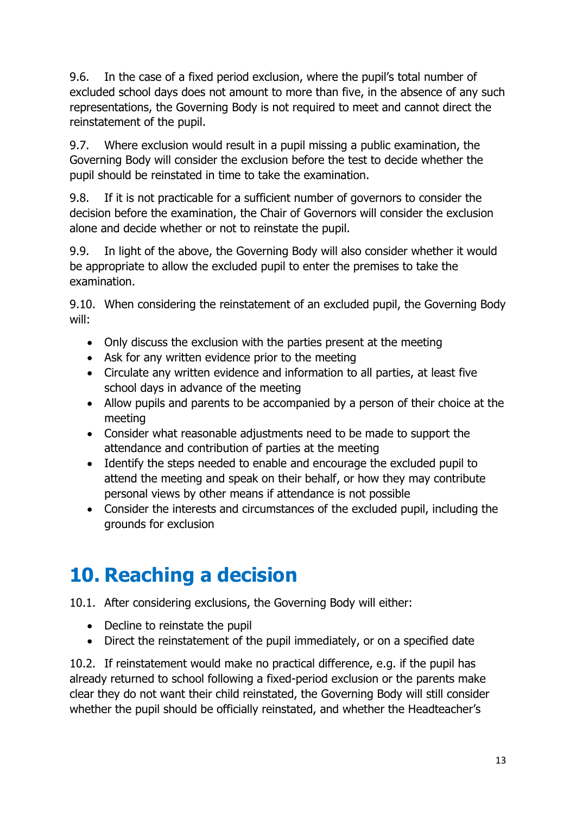9.6. In the case of a fixed period exclusion, where the pupil's total number of excluded school days does not amount to more than five, in the absence of any such representations, the Governing Body is not required to meet and cannot direct the reinstatement of the pupil.

9.7. Where exclusion would result in a pupil missing a public examination, the Governing Body will consider the exclusion before the test to decide whether the pupil should be reinstated in time to take the examination.

9.8. If it is not practicable for a sufficient number of governors to consider the decision before the examination, the Chair of Governors will consider the exclusion alone and decide whether or not to reinstate the pupil.

9.9. In light of the above, the Governing Body will also consider whether it would be appropriate to allow the excluded pupil to enter the premises to take the examination.

9.10. When considering the reinstatement of an excluded pupil, the Governing Body will:

- Only discuss the exclusion with the parties present at the meeting
- Ask for any written evidence prior to the meeting
- Circulate any written evidence and information to all parties, at least five school days in advance of the meeting
- Allow pupils and parents to be accompanied by a person of their choice at the meeting
- Consider what reasonable adjustments need to be made to support the attendance and contribution of parties at the meeting
- Identify the steps needed to enable and encourage the excluded pupil to attend the meeting and speak on their behalf, or how they may contribute personal views by other means if attendance is not possible
- Consider the interests and circumstances of the excluded pupil, including the grounds for exclusion

#### **10. Reaching a decision**

10.1. After considering exclusions, the Governing Body will either:

- Decline to reinstate the pupil
- Direct the reinstatement of the pupil immediately, or on a specified date

10.2. If reinstatement would make no practical difference, e.g. if the pupil has already returned to school following a fixed-period exclusion or the parents make clear they do not want their child reinstated, the Governing Body will still consider whether the pupil should be officially reinstated, and whether the Headteacher's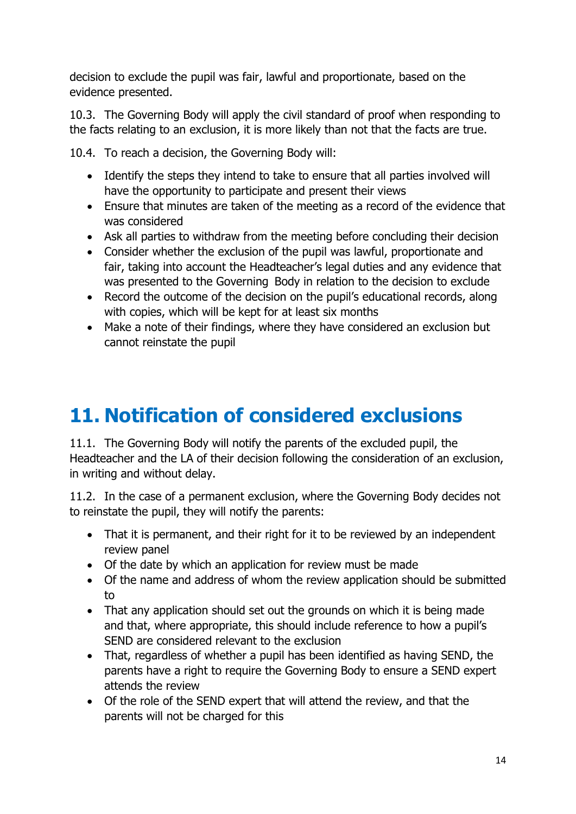decision to exclude the pupil was fair, lawful and proportionate, based on the evidence presented.

10.3. The Governing Body will apply the civil standard of proof when responding to the facts relating to an exclusion, it is more likely than not that the facts are true.

10.4. To reach a decision, the Governing Body will:

- Identify the steps they intend to take to ensure that all parties involved will have the opportunity to participate and present their views
- Ensure that minutes are taken of the meeting as a record of the evidence that was considered
- Ask all parties to withdraw from the meeting before concluding their decision
- Consider whether the exclusion of the pupil was lawful, proportionate and fair, taking into account the Headteacher's legal duties and any evidence that was presented to the Governing Body in relation to the decision to exclude
- Record the outcome of the decision on the pupil's educational records, along with copies, which will be kept for at least six months
- Make a note of their findings, where they have considered an exclusion but cannot reinstate the pupil

# **11. Notification of considered exclusions**

11.1. The Governing Body will notify the parents of the excluded pupil, the Headteacher and the LA of their decision following the consideration of an exclusion, in writing and without delay.

11.2. In the case of a permanent exclusion, where the Governing Body decides not to reinstate the pupil, they will notify the parents:

- That it is permanent, and their right for it to be reviewed by an independent review panel
- Of the date by which an application for review must be made
- Of the name and address of whom the review application should be submitted to
- That any application should set out the grounds on which it is being made and that, where appropriate, this should include reference to how a pupil's SEND are considered relevant to the exclusion
- That, regardless of whether a pupil has been identified as having SEND, the parents have a right to require the Governing Body to ensure a SEND expert attends the review
- Of the role of the SEND expert that will attend the review, and that the parents will not be charged for this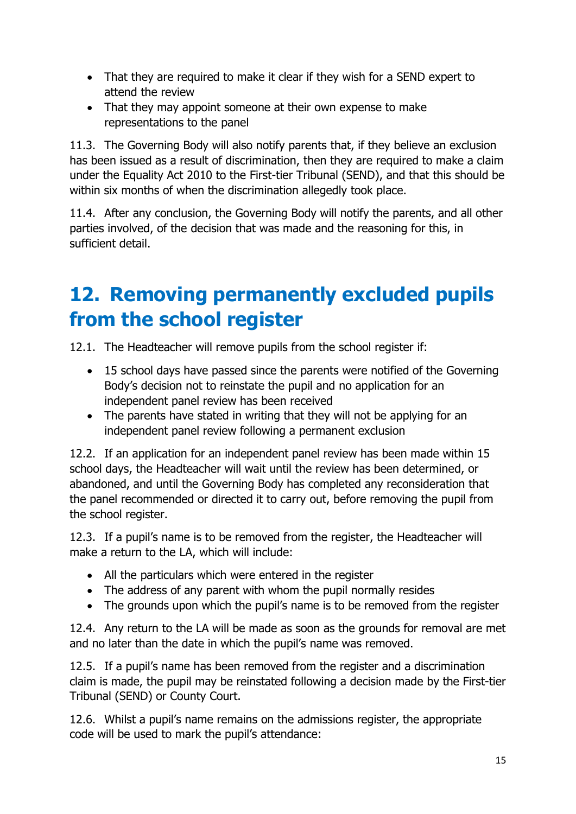- That they are required to make it clear if they wish for a SEND expert to attend the review
- That they may appoint someone at their own expense to make representations to the panel

11.3. The Governing Body will also notify parents that, if they believe an exclusion has been issued as a result of discrimination, then they are required to make a claim under the Equality Act 2010 to the First-tier Tribunal (SEND), and that this should be within six months of when the discrimination allegedly took place.

11.4. After any conclusion, the Governing Body will notify the parents, and all other parties involved, of the decision that was made and the reasoning for this, in sufficient detail.

## **12. Removing permanently excluded pupils from the school register**

12.1. The Headteacher will remove pupils from the school register if:

- 15 school days have passed since the parents were notified of the Governing Body's decision not to reinstate the pupil and no application for an independent panel review has been received
- The parents have stated in writing that they will not be applying for an independent panel review following a permanent exclusion

12.2. If an application for an independent panel review has been made within 15 school days, the Headteacher will wait until the review has been determined, or abandoned, and until the Governing Body has completed any reconsideration that the panel recommended or directed it to carry out, before removing the pupil from the school register.

12.3. If a pupil's name is to be removed from the register, the Headteacher will make a return to the LA, which will include:

- All the particulars which were entered in the register
- The address of any parent with whom the pupil normally resides
- The grounds upon which the pupil's name is to be removed from the register

12.4. Any return to the LA will be made as soon as the grounds for removal are met and no later than the date in which the pupil's name was removed.

12.5. If a pupil's name has been removed from the register and a discrimination claim is made, the pupil may be reinstated following a decision made by the First-tier Tribunal (SEND) or County Court.

12.6. Whilst a pupil's name remains on the admissions register, the appropriate code will be used to mark the pupil's attendance: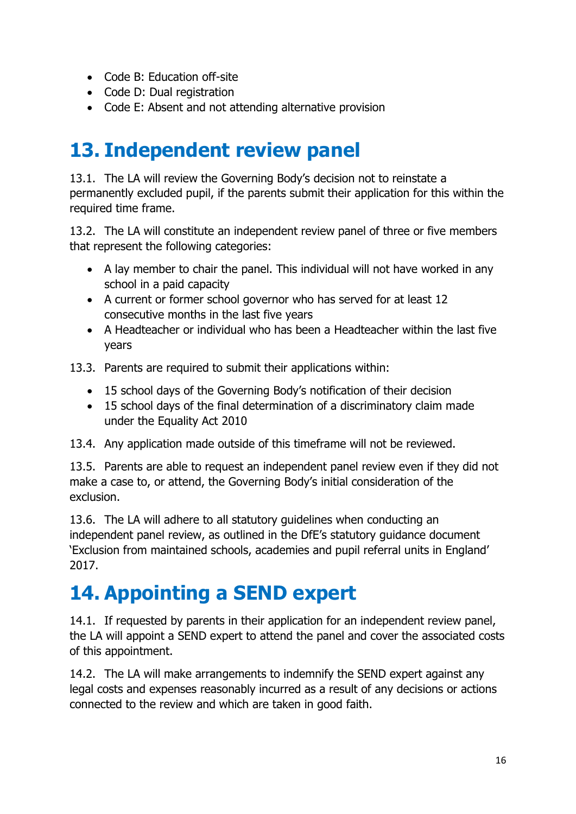- Code B: Education off-site
- Code D: Dual registration
- Code E: Absent and not attending alternative provision

## **13. Independent review panel**

13.1. The LA will review the Governing Body's decision not to reinstate a permanently excluded pupil, if the parents submit their application for this within the required time frame.

13.2. The LA will constitute an independent review panel of three or five members that represent the following categories:

- A lay member to chair the panel. This individual will not have worked in any school in a paid capacity
- A current or former school governor who has served for at least 12 consecutive months in the last five years
- A Headteacher or individual who has been a Headteacher within the last five years
- 13.3. Parents are required to submit their applications within:
	- 15 school days of the Governing Body's notification of their decision
	- 15 school days of the final determination of a discriminatory claim made under the Equality Act 2010
- 13.4. Any application made outside of this timeframe will not be reviewed.

13.5. Parents are able to request an independent panel review even if they did not make a case to, or attend, the Governing Body's initial consideration of the exclusion.

13.6. The LA will adhere to all statutory guidelines when conducting an independent panel review, as outlined in the DfE's statutory guidance document 'Exclusion from maintained schools, academies and pupil referral units in England' 2017.

#### **14. Appointing a SEND expert**

14.1. If requested by parents in their application for an independent review panel, the LA will appoint a SEND expert to attend the panel and cover the associated costs of this appointment.

14.2. The LA will make arrangements to indemnify the SEND expert against any legal costs and expenses reasonably incurred as a result of any decisions or actions connected to the review and which are taken in good faith.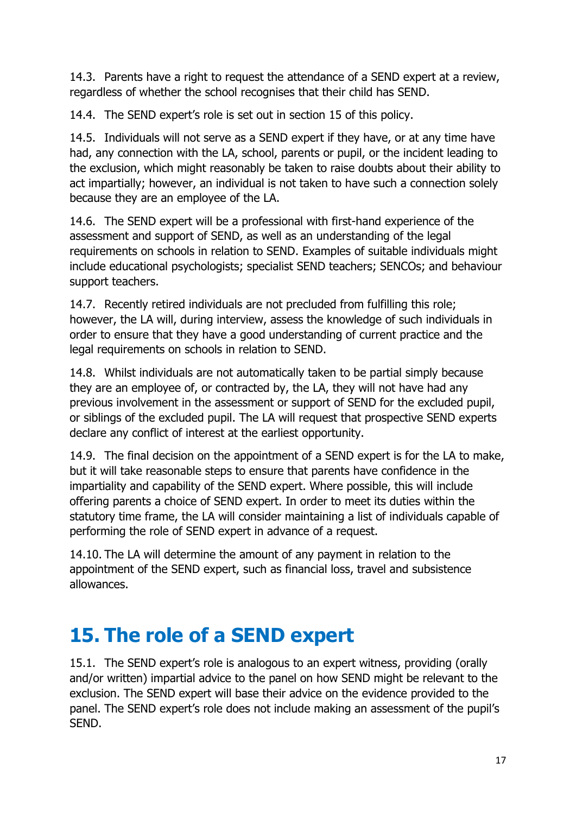14.3. Parents have a right to request the attendance of a SEND expert at a review, regardless of whether the school recognises that their child has SEND.

14.4. The SEND expert's role is set out in section 15 of this policy.

14.5. Individuals will not serve as a SEND expert if they have, or at any time have had, any connection with the LA, school, parents or pupil, or the incident leading to the exclusion, which might reasonably be taken to raise doubts about their ability to act impartially; however, an individual is not taken to have such a connection solely because they are an employee of the LA.

14.6. The SEND expert will be a professional with first-hand experience of the assessment and support of SEND, as well as an understanding of the legal requirements on schools in relation to SEND. Examples of suitable individuals might include educational psychologists; specialist SEND teachers; SENCOs; and behaviour support teachers.

14.7. Recently retired individuals are not precluded from fulfilling this role; however, the LA will, during interview, assess the knowledge of such individuals in order to ensure that they have a good understanding of current practice and the legal requirements on schools in relation to SEND.

14.8. Whilst individuals are not automatically taken to be partial simply because they are an employee of, or contracted by, the LA, they will not have had any previous involvement in the assessment or support of SEND for the excluded pupil, or siblings of the excluded pupil. The LA will request that prospective SEND experts declare any conflict of interest at the earliest opportunity.

14.9. The final decision on the appointment of a SEND expert is for the LA to make, but it will take reasonable steps to ensure that parents have confidence in the impartiality and capability of the SEND expert. Where possible, this will include offering parents a choice of SEND expert. In order to meet its duties within the statutory time frame, the LA will consider maintaining a list of individuals capable of performing the role of SEND expert in advance of a request.

14.10. The LA will determine the amount of any payment in relation to the appointment of the SEND expert, such as financial loss, travel and subsistence allowances.

# **15. The role of a SEND expert**

15.1. The SEND expert's role is analogous to an expert witness, providing (orally and/or written) impartial advice to the panel on how SEND might be relevant to the exclusion. The SEND expert will base their advice on the evidence provided to the panel. The SEND expert's role does not include making an assessment of the pupil's SEND.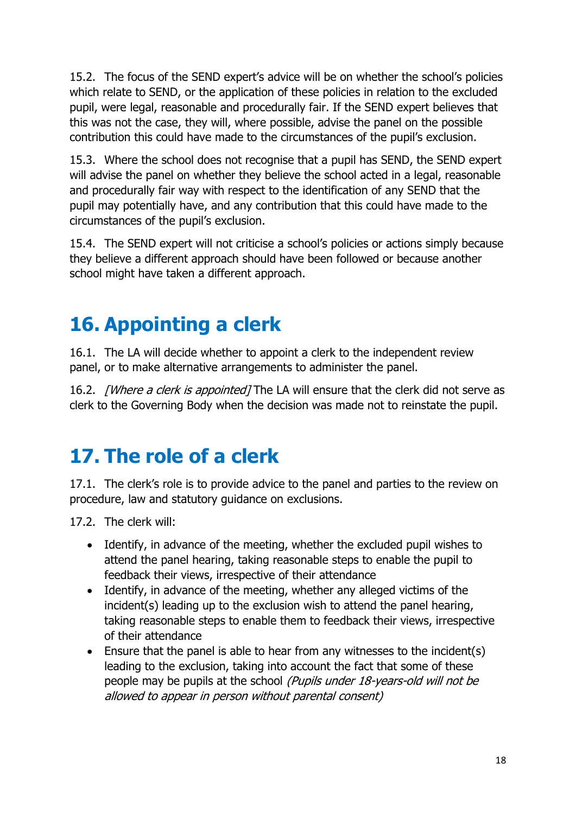15.2. The focus of the SEND expert's advice will be on whether the school's policies which relate to SEND, or the application of these policies in relation to the excluded pupil, were legal, reasonable and procedurally fair. If the SEND expert believes that this was not the case, they will, where possible, advise the panel on the possible contribution this could have made to the circumstances of the pupil's exclusion.

15.3. Where the school does not recognise that a pupil has SEND, the SEND expert will advise the panel on whether they believe the school acted in a legal, reasonable and procedurally fair way with respect to the identification of any SEND that the pupil may potentially have, and any contribution that this could have made to the circumstances of the pupil's exclusion.

15.4. The SEND expert will not criticise a school's policies or actions simply because they believe a different approach should have been followed or because another school might have taken a different approach.

# **16. Appointing a clerk**

16.1. The LA will decide whether to appoint a clerk to the independent review panel, or to make alternative arrangements to administer the panel.

16.2. *[Where a clerk is appointed]* The LA will ensure that the clerk did not serve as clerk to the Governing Body when the decision was made not to reinstate the pupil.

#### **17. The role of a clerk**

17.1. The clerk's role is to provide advice to the panel and parties to the review on procedure, law and statutory guidance on exclusions.

17.2. The clerk will:

- Identify, in advance of the meeting, whether the excluded pupil wishes to attend the panel hearing, taking reasonable steps to enable the pupil to feedback their views, irrespective of their attendance
- Identify, in advance of the meeting, whether any alleged victims of the incident(s) leading up to the exclusion wish to attend the panel hearing, taking reasonable steps to enable them to feedback their views, irrespective of their attendance
- Ensure that the panel is able to hear from any witnesses to the incident(s) leading to the exclusion, taking into account the fact that some of these people may be pupils at the school (Pupils under 18-years-old will not be allowed to appear in person without parental consent)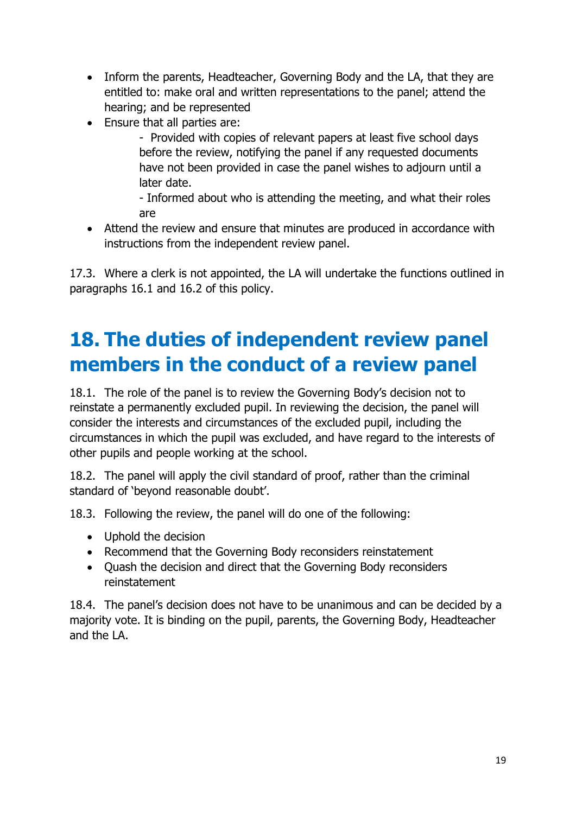- Inform the parents, Headteacher, Governing Body and the LA, that they are entitled to: make oral and written representations to the panel; attend the hearing; and be represented
- Ensure that all parties are:

- Provided with copies of relevant papers at least five school days before the review, notifying the panel if any requested documents have not been provided in case the panel wishes to adjourn until a later date.

- Informed about who is attending the meeting, and what their roles are

 Attend the review and ensure that minutes are produced in accordance with instructions from the independent review panel.

17.3. Where a clerk is not appointed, the LA will undertake the functions outlined in paragraphs 16.1 and 16.2 of this policy.

# **18. The duties of independent review panel members in the conduct of a review panel**

18.1. The role of the panel is to review the Governing Body's decision not to reinstate a permanently excluded pupil. In reviewing the decision, the panel will consider the interests and circumstances of the excluded pupil, including the circumstances in which the pupil was excluded, and have regard to the interests of other pupils and people working at the school.

18.2. The panel will apply the civil standard of proof, rather than the criminal standard of 'beyond reasonable doubt'.

18.3. Following the review, the panel will do one of the following:

- Uphold the decision
- Recommend that the Governing Body reconsiders reinstatement
- Ouash the decision and direct that the Governing Body reconsiders reinstatement

18.4. The panel's decision does not have to be unanimous and can be decided by a majority vote. It is binding on the pupil, parents, the Governing Body, Headteacher and the LA.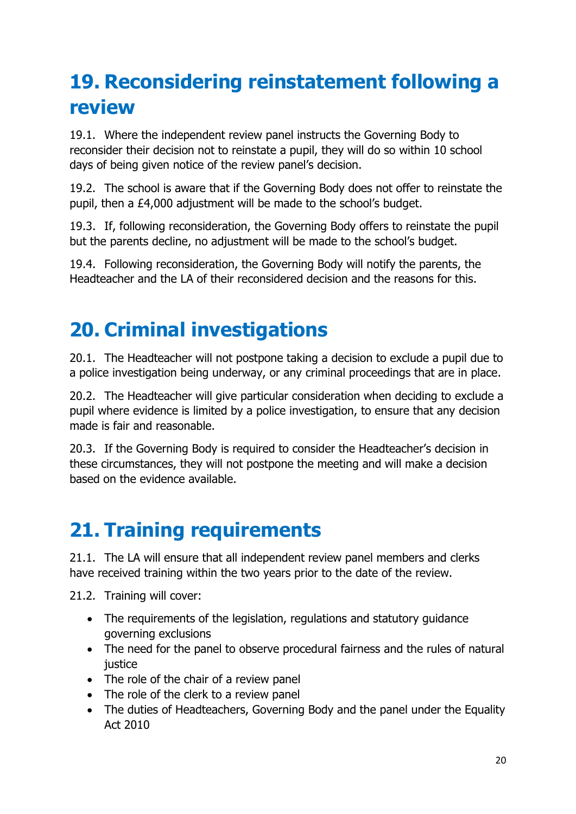# **19. Reconsidering reinstatement following a review**

19.1. Where the independent review panel instructs the Governing Body to reconsider their decision not to reinstate a pupil, they will do so within 10 school days of being given notice of the review panel's decision.

19.2. The school is aware that if the Governing Body does not offer to reinstate the pupil, then a £4,000 adjustment will be made to the school's budget.

19.3. If, following reconsideration, the Governing Body offers to reinstate the pupil but the parents decline, no adjustment will be made to the school's budget.

19.4. Following reconsideration, the Governing Body will notify the parents, the Headteacher and the LA of their reconsidered decision and the reasons for this.

# **20. Criminal investigations**

20.1. The Headteacher will not postpone taking a decision to exclude a pupil due to a police investigation being underway, or any criminal proceedings that are in place.

20.2. The Headteacher will give particular consideration when deciding to exclude a pupil where evidence is limited by a police investigation, to ensure that any decision made is fair and reasonable.

20.3. If the Governing Body is required to consider the Headteacher's decision in these circumstances, they will not postpone the meeting and will make a decision based on the evidence available.

# **21. Training requirements**

21.1. The LA will ensure that all independent review panel members and clerks have received training within the two years prior to the date of the review.

21.2. Training will cover:

- The requirements of the legislation, regulations and statutory quidance governing exclusions
- The need for the panel to observe procedural fairness and the rules of natural justice
- The role of the chair of a review panel
- The role of the clerk to a review panel
- The duties of Headteachers, Governing Body and the panel under the Equality Act 2010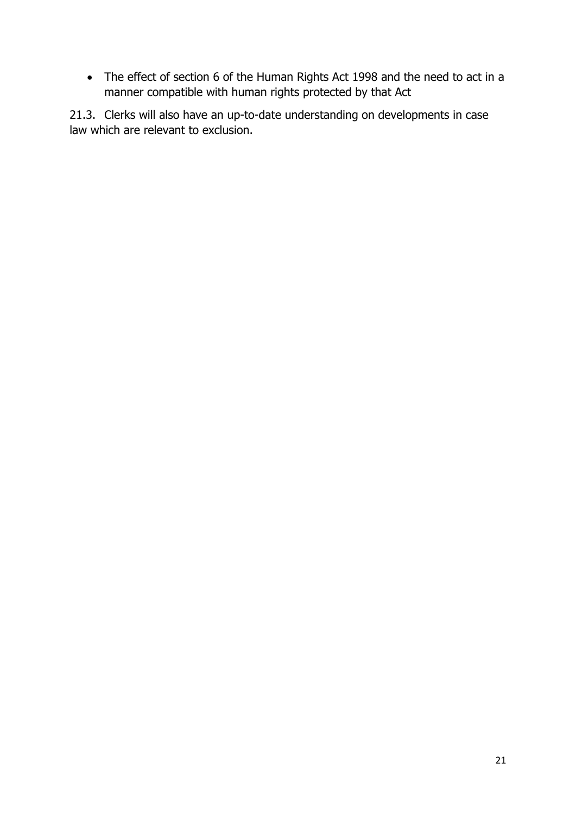• The effect of section 6 of the Human Rights Act 1998 and the need to act in a manner compatible with human rights protected by that Act

21.3. Clerks will also have an up-to-date understanding on developments in case law which are relevant to exclusion.